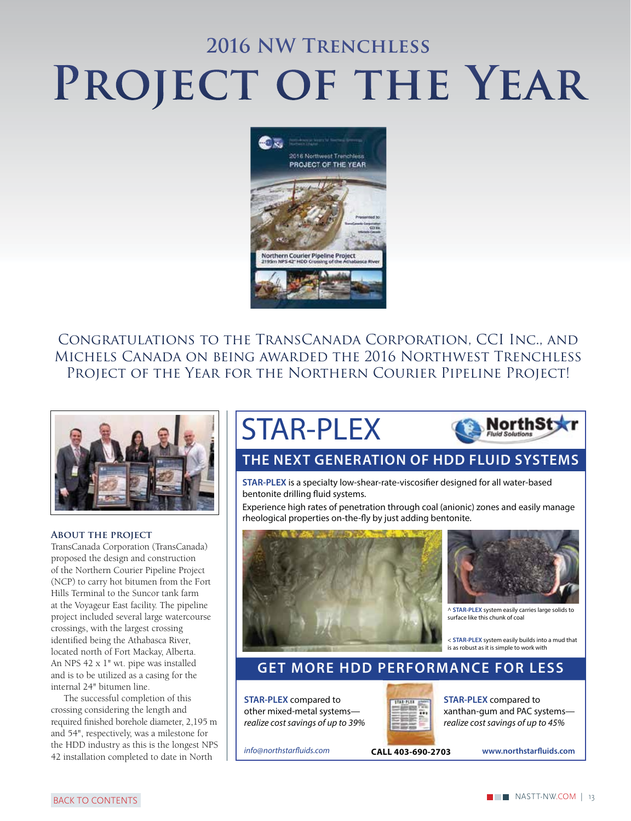# **2016 NW Trenchless** PROJECT OF THE YEAR



Congratulations to the TransCanada Corporation, CCI Inc., and Michels Canada on being awarded the 2016 Northwest Trenchless PROJECT OF THE YEAR FOR THE NORTHERN COURIER PIPELINE PROJECT!



#### **About the project**

TransCanada Corporation (TransCanada) proposed the design and construction of the Northern Courier Pipeline Project (NCP) to carry hot bitumen from the Fort Hills Terminal to the Suncor tank farm at the Voyageur East facility. The pipeline project included several large watercourse crossings, with the largest crossing identified being the Athabasca River, located north of Fort Mackay, Alberta. An NPS 42 x 1" wt. pipe was installed and is to be utilized as a casing for the internal 24" bitumen line.

The successful completion of this crossing considering the length and required finished borehole diameter, 2,195 m and 54", respectively, was a milestone for the HDD industry as this is the longest NPS 42 installation completed to date in North

## STAR-PLEX



#### **[THE NEXT GENERATION OF HDD FLUID SYSTEMS](http://www.northstarfluids.com)**

**STAR-PLEX** is a specialty low-shear-rate-viscosifier designed for all water-based bentonite drilling fluid systems.

Experience high rates of penetration through coal (anionic) zones and easily manage rheological properties on-the-fly by just adding bentonite.



#### **GET MORE HDD PERFORMANCE FOR LESS**

**STAR-PLEX** compared to other mixed-metal systems realize cost savings of up to 39%



**STAR-PLEX** compared to xanthan-gum and PAC systems realize cost savings of up to 45%

[info@northstarfluids.com](mailto:info@northstarfluids.com) **www.northstarfluids.com CALL 403-690-2703**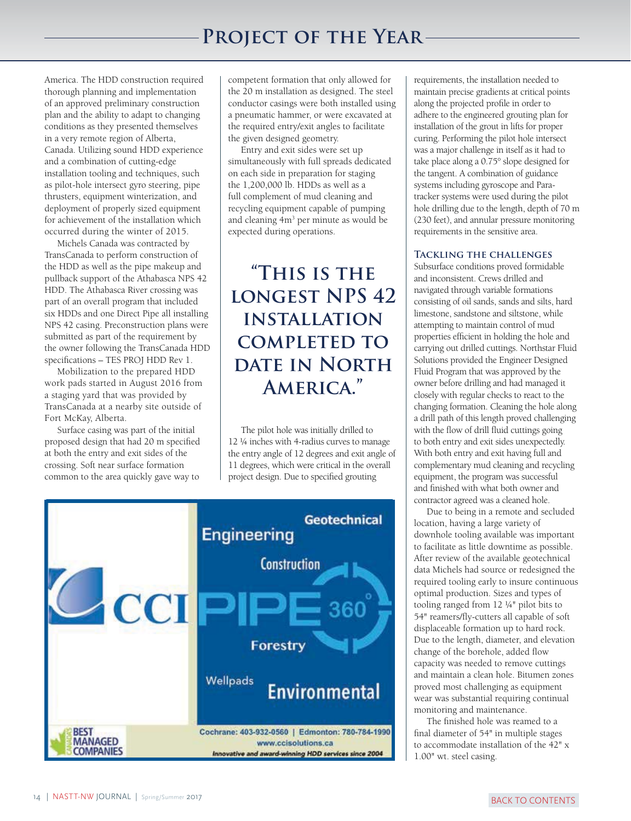### **Project of the Year**

America. The HDD construction required thorough planning and implementation of an approved preliminary construction plan and the ability to adapt to changing conditions as they presented themselves in a very remote region of Alberta, Canada. Utilizing sound HDD experience and a combination of cutting-edge installation tooling and techniques, such as pilot-hole intersect gyro steering, pipe thrusters, equipment winterization, and deployment of properly sized equipment for achievement of the installation which occurred during the winter of 2015.

Michels Canada was contracted by TransCanada to perform construction of the HDD as well as the pipe makeup and pullback support of the Athabasca NPS 42 HDD. The Athabasca River crossing was part of an overall program that included six HDDs and one Direct Pipe all installing NPS 42 casing. Preconstruction plans were submitted as part of the requirement by the owner following the TransCanada HDD specifications – TES PROJ HDD Rev 1.

Mobilization to the prepared HDD work pads started in August 2016 from a staging yard that was provided by TransCanada at a nearby site outside of Fort McKay, Alberta.

Surface casing was part of the initial proposed design that had 20 m specified at both the entry and exit sides of the crossing. Soft near surface formation common to the area quickly gave way to

competent formation that only allowed for the 20 m installation as designed. The steel conductor casings were both installed using a pneumatic hammer, or were excavated at the required entry/exit angles to facilitate the given designed geometry.

Entry and exit sides were set up simultaneously with full spreads dedicated on each side in preparation for staging the 1,200,000 lb. HDDs as well as a full complement of mud cleaning and recycling equipment capable of pumping and cleaning 4m<sup>3</sup> per minute as would be expected during operations.

### **"This is the longest NPS 42 installation completed to DATE IN NORTH America."**

The pilot hole was initially drilled to 12 ¼ inches with 4-radius curves to manage the entry angle of 12 degrees and exit angle of 11 degrees, which were critical in the overall project design. Due to specified grouting



requirements, the installation needed to maintain precise gradients at critical points along the projected profile in order to adhere to the engineered grouting plan for installation of the grout in lifts for proper curing. Performing the pilot hole intersect was a major challenge in itself as it had to take place along a 0.75° slope designed for the tangent. A combination of guidance systems including gyroscope and Paratracker systems were used during the pilot hole drilling due to the length, depth of 70 m (230 feet), and annular pressure monitoring requirements in the sensitive area.

#### **Tackling the challenges**

Subsurface conditions proved formidable and inconsistent. Crews drilled and navigated through variable formations consisting of oil sands, sands and silts, hard limestone, sandstone and siltstone, while attempting to maintain control of mud properties efficient in holding the hole and carrying out drilled cuttings. Northstar Fluid Solutions provided the Engineer Designed Fluid Program that was approved by the owner before drilling and had managed it closely with regular checks to react to the changing formation. Cleaning the hole along a drill path of this length proved challenging with the flow of drill fluid cuttings going to both entry and exit sides unexpectedly. With both entry and exit having full and complementary mud cleaning and recycling equipment, the program was successful and finished with what both owner and contractor agreed was a cleaned hole.

Due to being in a remote and secluded location, having a large variety of downhole tooling available was important to facilitate as little downtime as possible. After review of the available geotechnical data Michels had source or redesigned the required tooling early to insure continuous optimal production. Sizes and types of tooling ranged from 12 ¼" pilot bits to 54" reamers/fly-cutters all capable of soft displaceable formation up to hard rock. Due to the length, diameter, and elevation change of the borehole, added flow capacity was needed to remove cuttings and maintain a clean hole. Bitumen zones proved most challenging as equipment wear was substantial requiring continual monitoring and maintenance.

The finished hole was reamed to a final diameter of 54" in multiple stages to accommodate installation of the 42" x 1.00" wt. steel casing.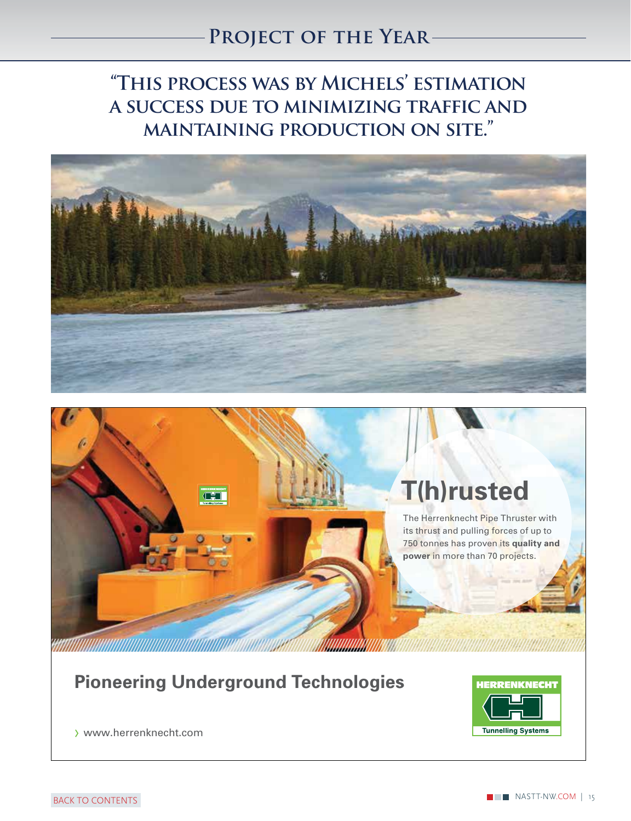### **Project of the Year**

**"This process was by Michels' estimation a success due to minimizing traffic and maintaining production on site."**





### **[Pioneering Underground Technologies](http://www.herrenknecht.com)**



www.herrenknecht.com